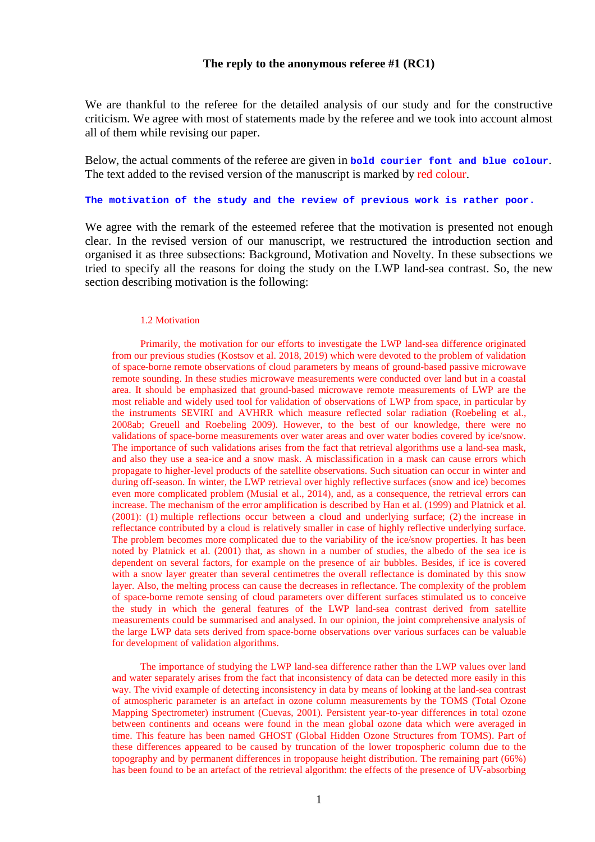## **The reply to the anonymous referee #1 (RC1)**

We are thankful to the referee for the detailed analysis of our study and for the constructive criticism. We agree with most of statements made by the referee and we took into account almost all of them while revising our paper.

Below, the actual comments of the referee are given in **bold courier font and blue colour**. The text added to the revised version of the manuscript is marked by red colour.

#### **The motivation of the study and the review of previous work is rather poor.**

We agree with the remark of the esteemed referee that the motivation is presented not enough clear. In the revised version of our manuscript, we restructured the introduction section and organised it as three subsections: Background, Motivation and Novelty. In these subsections we tried to specify all the reasons for doing the study on the LWP land-sea contrast. So, the new section describing motivation is the following:

#### 1.2 Motivation

Primarily, the motivation for our efforts to investigate the LWP land-sea difference originated from our previous studies (Kostsov et al. 2018, 2019) which were devoted to the problem of validation of space-borne remote observations of cloud parameters by means of ground-based passive microwave remote sounding. In these studies microwave measurements were conducted over land but in a coastal area. It should be emphasized that ground-based microwave remote measurements of LWP are the most reliable and widely used tool for validation of observations of LWP from space, in particular by the instruments SEVIRI and AVHRR which measure reflected solar radiation (Roebeling et al., 2008ab; Greuell and Roebeling 2009). However, to the best of our knowledge, there were no validations of space-borne measurements over water areas and over water bodies covered by ice/snow. The importance of such validations arises from the fact that retrieval algorithms use a land-sea mask, and also they use a sea-ice and a snow mask. A misclassification in a mask can cause errors which propagate to higher-level products of the satellite observations. Such situation can occur in winter and during off-season. In winter, the LWP retrieval over highly reflective surfaces (snow and ice) becomes even more complicated problem (Musial et al., 2014), and, as a consequence, the retrieval errors can increase. The mechanism of the error amplification is described by Han et al. (1999) and Platnick et al. (2001): (1) multiple reflections occur between a cloud and underlying surface; (2) the increase in reflectance contributed by a cloud is relatively smaller in case of highly reflective underlying surface. The problem becomes more complicated due to the variability of the ice/snow properties. It has been noted by Platnick et al. (2001) that, as shown in a number of studies, the albedo of the sea ice is dependent on several factors, for example on the presence of air bubbles. Besides, if ice is covered with a snow layer greater than several centimetres the overall reflectance is dominated by this snow layer. Also, the melting process can cause the decreases in reflectance. The complexity of the problem of space-borne remote sensing of cloud parameters over different surfaces stimulated us to conceive the study in which the general features of the LWP land-sea contrast derived from satellite measurements could be summarised and analysed. In our opinion, the joint comprehensive analysis of the large LWP data sets derived from space-borne observations over various surfaces can be valuable for development of validation algorithms.

The importance of studying the LWP land-sea difference rather than the LWP values over land and water separately arises from the fact that inconsistency of data can be detected more easily in this way. The vivid example of detecting inconsistency in data by means of looking at the land-sea contrast of atmospheric parameter is an artefact in ozone column measurements by the TOMS (Total Ozone Mapping Spectrometer) instrument (Cuevas, 2001). Persistent year-to-year differences in total ozone between continents and oceans were found in the mean global ozone data which were averaged in time. This feature has been named GHOST (Global Hidden Ozone Structures from TOMS). Part of these differences appeared to be caused by truncation of the lower tropospheric column due to the topography and by permanent differences in tropopause height distribution. The remaining part (66%) has been found to be an artefact of the retrieval algorithm: the effects of the presence of UV-absorbing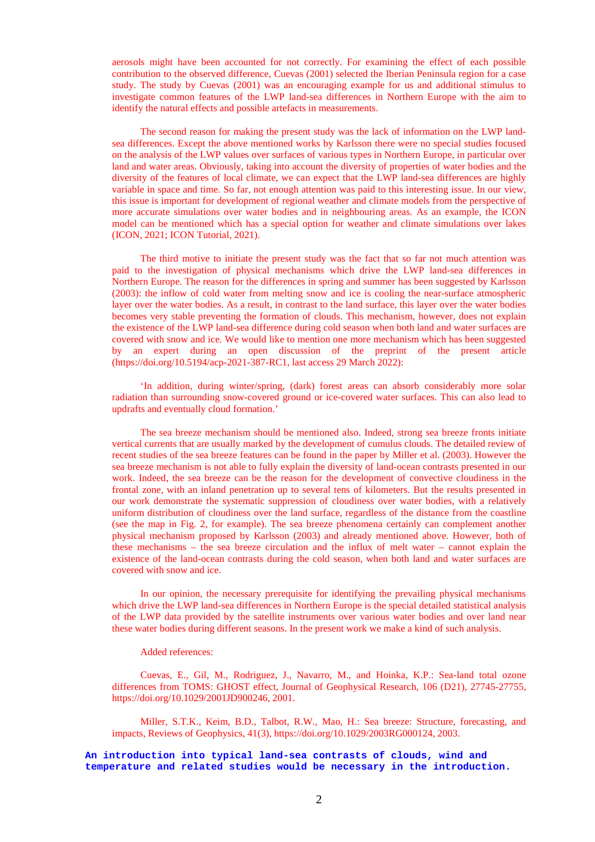aerosols might have been accounted for not correctly. For examining the effect of each possible contribution to the observed difference, Cuevas (2001) selected the Iberian Peninsula region for a case study. The study by Cuevas (2001) was an encouraging example for us and additional stimulus to investigate common features of the LWP land-sea differences in Northern Europe with the aim to identify the natural effects and possible artefacts in measurements.

The second reason for making the present study was the lack of information on the LWP landsea differences. Except the above mentioned works by Karlsson there were no special studies focused on the analysis of the LWP values over surfaces of various types in Northern Europe, in particular over land and water areas. Obviously, taking into account the diversity of properties of water bodies and the diversity of the features of local climate, we can expect that the LWP land-sea differences are highly variable in space and time. So far, not enough attention was paid to this interesting issue. In our view, this issue is important for development of regional weather and climate models from the perspective of more accurate simulations over water bodies and in neighbouring areas. As an example, the ICON model can be mentioned which has a special option for weather and climate simulations over lakes (ICON, 2021; ICON Tutorial, 2021).

The third motive to initiate the present study was the fact that so far not much attention was paid to the investigation of physical mechanisms which drive the LWP land-sea differences in Northern Europe. The reason for the differences in spring and summer has been suggested by Karlsson (2003): the inflow of cold water from melting snow and ice is cooling the near-surface atmospheric layer over the water bodies. As a result, in contrast to the land surface, this layer over the water bodies becomes very stable preventing the formation of clouds. This mechanism, however, does not explain the existence of the LWP land-sea difference during cold season when both land and water surfaces are covered with snow and ice. We would like to mention one more mechanism which has been suggested by an expert during an open discussion of the preprint of the present article (https://doi.org/10.5194/acp-2021-387-RC1, last access 29 March 2022):

'In addition, during winter/spring, (dark) forest areas can absorb considerably more solar radiation than surrounding snow-covered ground or ice-covered water surfaces. This can also lead to updrafts and eventually cloud formation.'

The sea breeze mechanism should be mentioned also. Indeed, strong sea breeze fronts initiate vertical currents that are usually marked by the development of cumulus clouds. The detailed review of recent studies of the sea breeze features can be found in the paper by Miller et al. (2003). However the sea breeze mechanism is not able to fully explain the diversity of land-ocean contrasts presented in our work. Indeed, the sea breeze can be the reason for the development of convective cloudiness in the frontal zone, with an inland penetration up to several tens of kilometers. But the results presented in our work demonstrate the systematic suppression of cloudiness over water bodies, with a relatively uniform distribution of cloudiness over the land surface, regardless of the distance from the coastline (see the map in Fig. 2, for example). The sea breeze phenomena certainly can complement another physical mechanism proposed by Karlsson (2003) and already mentioned above. However, both of these mechanisms – the sea breeze circulation and the influx of melt water – cannot explain the existence of the land-ocean contrasts during the cold season, when both land and water surfaces are covered with snow and ice.

In our opinion, the necessary prerequisite for identifying the prevailing physical mechanisms which drive the LWP land-sea differences in Northern Europe is the special detailed statistical analysis of the LWP data provided by the satellite instruments over various water bodies and over land near these water bodies during different seasons. In the present work we make a kind of such analysis.

#### Added references:

Cuevas, E., Gil, M., Rodriguez, J., Navarro, M., and Hoinka, K.P.: Sea-land total ozone differences from TOMS: GHOST effect, Journal of Geophysical Research, 106 (D21), 27745-27755, https://doi.org/10.1029/2001JD900246, 2001.

Miller, S.T.K., Keim, B.D., Talbot, R.W., Mao, H.: Sea breeze: Structure, forecasting, and impacts, Reviews of Geophysics, 41(3), https://doi.org/10.1029/2003RG000124, 2003.

**An introduction into typical land-sea contrasts of clouds, wind and temperature and related studies would be necessary in the introduction.**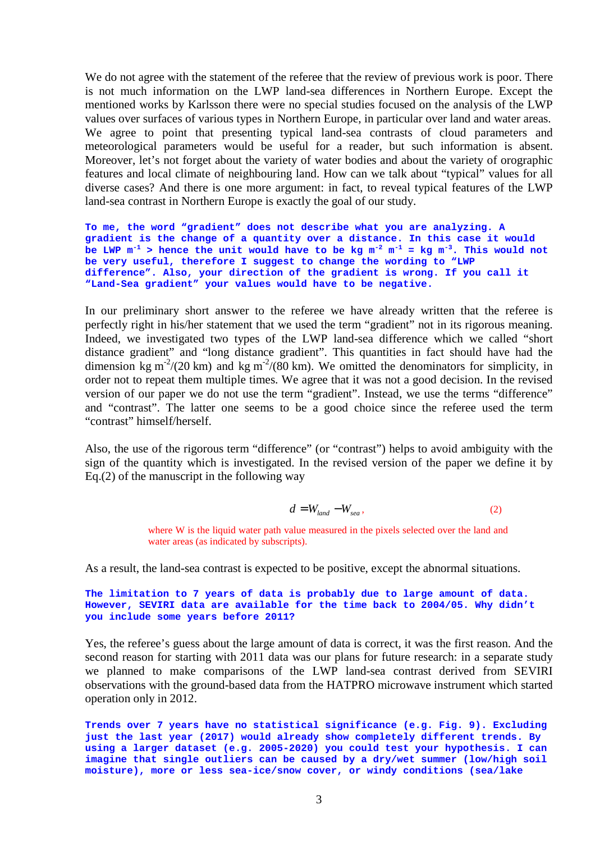We do not agree with the statement of the referee that the review of previous work is poor. There is not much information on the LWP land-sea differences in Northern Europe. Except the mentioned works by Karlsson there were no special studies focused on the analysis of the LWP values over surfaces of various types in Northern Europe, in particular over land and water areas. We agree to point that presenting typical land-sea contrasts of cloud parameters and meteorological parameters would be useful for a reader, but such information is absent. Moreover, let's not forget about the variety of water bodies and about the variety of orographic features and local climate of neighbouring land. How can we talk about "typical" values for all diverse cases? And there is one more argument: in fact, to reveal typical features of the LWP land-sea contrast in Northern Europe is exactly the goal of our study.

**To me, the word "gradient" does not describe what you are analyzing. A gradient is the change of a quantity over a distance. In this case it would**  be LWP  $m^{-1}$  > hence the unit would have to be kg  $m^{-2}$   $m^{-1}$  = kg  $m^{-3}$ . This would not **be very useful, therefore I suggest to change the wording to "LWP difference". Also, your direction of the gradient is wrong. If you call it "Land-Sea gradient" your values would have to be negative.**

In our preliminary short answer to the referee we have already written that the referee is perfectly right in his/her statement that we used the term "gradient" not in its rigorous meaning. Indeed, we investigated two types of the LWP land-sea difference which we called "short distance gradient" and "long distance gradient". This quantities in fact should have had the dimension kg m<sup>-2</sup>/(20 km) and kg m<sup>-2</sup>/(80 km). We omitted the denominators for simplicity, in order not to repeat them multiple times. We agree that it was not a good decision. In the revised version of our paper we do not use the term "gradient". Instead, we use the terms "difference" and "contrast". The latter one seems to be a good choice since the referee used the term "contrast" himself/herself.

Also, the use of the rigorous term "difference" (or "contrast") helps to avoid ambiguity with the sign of the quantity which is investigated. In the revised version of the paper we define it by Eq.(2) of the manuscript in the following way

$$
d = W_{land} - W_{sea},\tag{2}
$$

where W is the liquid water path value measured in the pixels selected over the land and water areas (as indicated by subscripts).

As a result, the land-sea contrast is expected to be positive, except the abnormal situations.

#### **The limitation to 7 years of data is probably due to large amount of data. However, SEVIRI data are available for the time back to 2004/05. Why didn't you include some years before 2011?**

Yes, the referee's guess about the large amount of data is correct, it was the first reason. And the second reason for starting with 2011 data was our plans for future research: in a separate study we planned to make comparisons of the LWP land-sea contrast derived from SEVIRI observations with the ground-based data from the HATPRO microwave instrument which started operation only in 2012.

**Trends over 7 years have no statistical significance (e.g. Fig. 9). Excluding just the last year (2017) would already show completely different trends. By using a larger dataset (e.g. 2005-2020) you could test your hypothesis. I can imagine that single outliers can be caused by a dry/wet summer (low/high soil moisture), more or less sea-ice/snow cover, or windy conditions (sea/lake**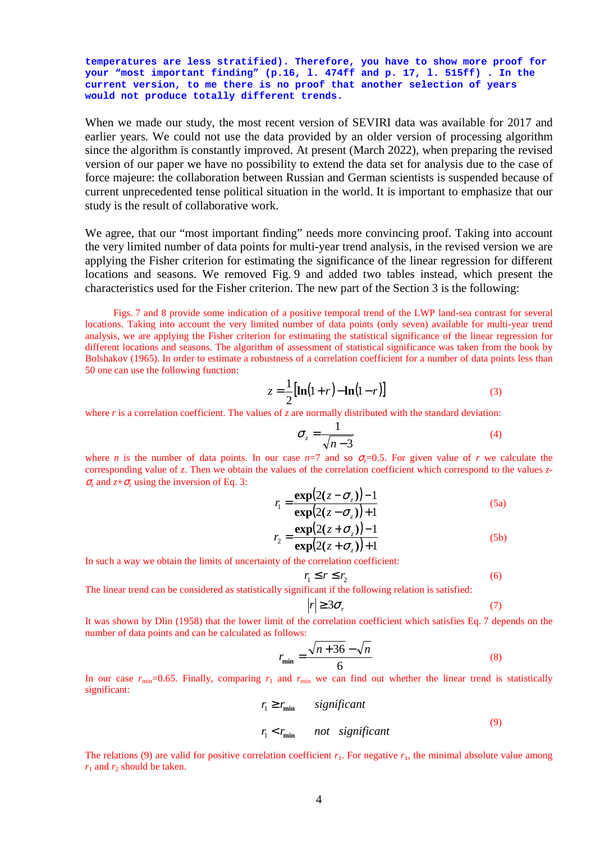**temperatures are less stratified). Therefore, you have to show more proof for your "most important finding" (p.16, l. 474ff and p. 17, l. 515ff) . In the current version, to me there is no proof that another selection of years would not produce totally different trends.** 

When we made our study, the most recent version of SEVIRI data was available for 2017 and earlier years. We could not use the data provided by an older version of processing algorithm since the algorithm is constantly improved. At present (March 2022), when preparing the revised version of our paper we have no possibility to extend the data set for analysis due to the case of force majeure: the collaboration between Russian and German scientists is suspended because of current unprecedented tense political situation in the world. It is important to emphasize that our study is the result of collaborative work.

We agree, that our "most important finding" needs more convincing proof. Taking into account the very limited number of data points for multi-year trend analysis, in the revised version we are applying the Fisher criterion for estimating the significance of the linear regression for different locations and seasons. We removed Fig. 9 and added two tables instead, which present the characteristics used for the Fisher criterion. The new part of the Section 3 is the following:

Figs. 7 and 8 provide some indication of a positive temporal trend of the LWP land-sea contrast for several locations. Taking into account the very limited number of data points (only seven) available for multi-year trend analysis, we are applying the Fisher criterion for estimating the statistical significance of the linear regression for different locations and seasons. The algorithm of assessment of statistical significance was taken from the book by Bolshakov (1965). In order to estimate a robustness of a correlation coefficient for a number of data points less than 50 one can use the following function:

$$
z = \frac{1}{2} [\ln(1+r) - \ln(1-r)] \tag{3}
$$

where *r* is a correlation coefficient. The values of *z* are normally distributed with the standard deviation:

$$
\sigma_z = \frac{1}{\sqrt{n-3}}\tag{4}
$$

where *n* is the number of data points. In our case  $n=7$  and so  $\sigma_r=0.5$ . For given value of *r* we calculate the corresponding value of *z*. Then we obtain the values of the correlation coefficient which correspond to the values *z*- $\sigma$ <sub>z</sub> and  $z+\sigma$ <sub>z</sub> using the inversion of Eq. 3:

$$
r_1 = \frac{\exp(2(z - \sigma_z)) - 1}{\exp(2(z - \sigma_z)) + 1}
$$
 (5a)

$$
r_2 = \frac{\exp\left(2(z + \sigma_z)\right) - 1}{\exp\left(2(z + \sigma_z)\right) + 1} \tag{5b}
$$

In such a way we obtain the limits of uncertainty of the correlation coefficient:

$$
r_1 \le r \le r_2 \tag{6}
$$

The linear trend can be considered as statistically significant if the following relation is satisfied:

$$
|r| \ge 3\sigma_r \tag{7}
$$

It was shown by Dlin (1958) that the lower limit of the correlation coefficient which satisfies Eq. 7 depends on the number of data points and can be calculated as follows:

$$
r_{\min} = \frac{\sqrt{n+36} - \sqrt{n}}{6} \tag{8}
$$

In our case  $r_{\text{min}}$ =0.65. Finally, comparing  $r_1$  and  $r_{\text{min}}$  we can find out whether the linear trend is statistically significant:

$$
r_1 \ge r_{\min} \qquad significant
$$
  

$$
r_1 < r_{\min} \qquad not \quad significant
$$
  

$$
(9)
$$

The relations (9) are valid for positive correlation coefficient  $r_1$ . For negative  $r_1$ , the minimal absolute value among  $r_1$  and  $r_2$  should be taken.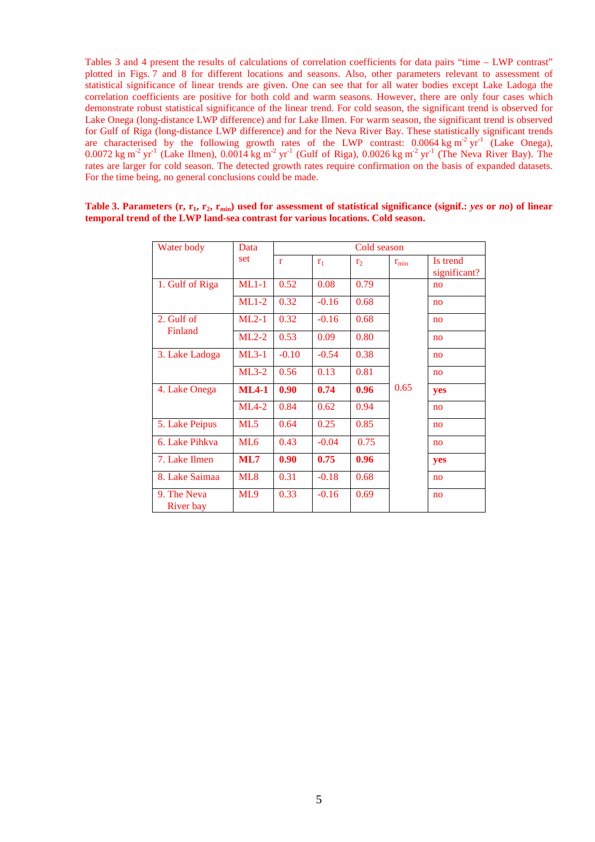Tables 3 and 4 present the results of calculations of correlation coefficients for data pairs "time – LWP contrast" plotted in Figs. 7 and 8 for different locations and seasons. Also, other parameters relevant to assessment of statistical significance of linear trends are given. One can see that for all water bodies except Lake Ladoga the correlation coefficients are positive for both cold and warm seasons. However, there are only four cases which demonstrate robust statistical significance of the linear trend. For cold season, the significant trend is observed for Lake Onega (long-distance LWP difference) and for Lake Ilmen. For warm season, the significant trend is observed for Gulf of Riga (long-distance LWP difference) and for the Neva River Bay. These statistically significant trends are characterised by the following growth rates of the LWP contrast:  $0.0064 \text{ kg m}^2 \text{ yr}^1$  (Lake Onega), 0.0072 kg m<sup>-2</sup> yr<sup>-1</sup> (Lake Ilmen), 0.0014 kg m<sup>-2</sup> yr<sup>-1</sup> (Gulf of Riga), 0.0026 kg m<sup>-2</sup> yr<sup>-1</sup> (The Neva River Bay). The rates are larger for cold season. The detected growth rates require confirmation on the basis of expanded datasets. For the time being, no general conclusions could be made.

| Water body               | Data            |              |                | Cold season    |               |                          |
|--------------------------|-----------------|--------------|----------------|----------------|---------------|--------------------------|
|                          | set             | $\mathbf{r}$ | r <sub>1</sub> | r <sub>2</sub> | $r_{\rm min}$ | Is trend<br>significant? |
| 1. Gulf of Riga          | $ML1-1$         | 0.52         | 0.08           | 0.79           |               | no                       |
|                          | $ML1-2$         | 0.32         | $-0.16$        | 0.68           |               | no                       |
| 2. Gulf of               | $ML2-1$         | 0.32         | $-0.16$        | 0.68           |               | no                       |
| Finland                  | $ML2-2$         | 0.53         | 0.09           | 0.80           |               | no                       |
| 3. Lake Ladoga           | $ML3-1$         | $-0.10$      | $-0.54$        | 0.38           |               | no                       |
|                          | $ML3-2$         | 0.56         | 0.13           | 0.81           |               | no                       |
| 4. Lake Onega            | $ML4-1$         | 0.90         | 0.74           | 0.96           | 0.65          | yes                      |
|                          | $ML4-2$         | 0.84         | 0.62           | 0.94           |               | no                       |
| 5. Lake Peipus           | ML5             | 0.64         | 0.25           | 0.85           |               | no                       |
| 6. Lake Pihkva           | ML <sub>6</sub> | 0.43         | $-0.04$        | 0.75           |               | no                       |
| 7. Lake Ilmen            | ML7             | 0.90         | 0.75           | 0.96           |               | yes                      |
| 8. Lake Saimaa           | ML <sub>8</sub> | 0.31         | $-0.18$        | 0.68           |               | no                       |
| 9. The Neva<br>River bay | ML9             | 0.33         | $-0.16$        | 0.69           |               | no                       |

**Table 3. Parameters (r, r1, r2, rmin) used for assessment of statistical significance (signif.:** *yes* **or** *no***) of linear temporal trend of the LWP land-sea contrast for various locations. Cold season.**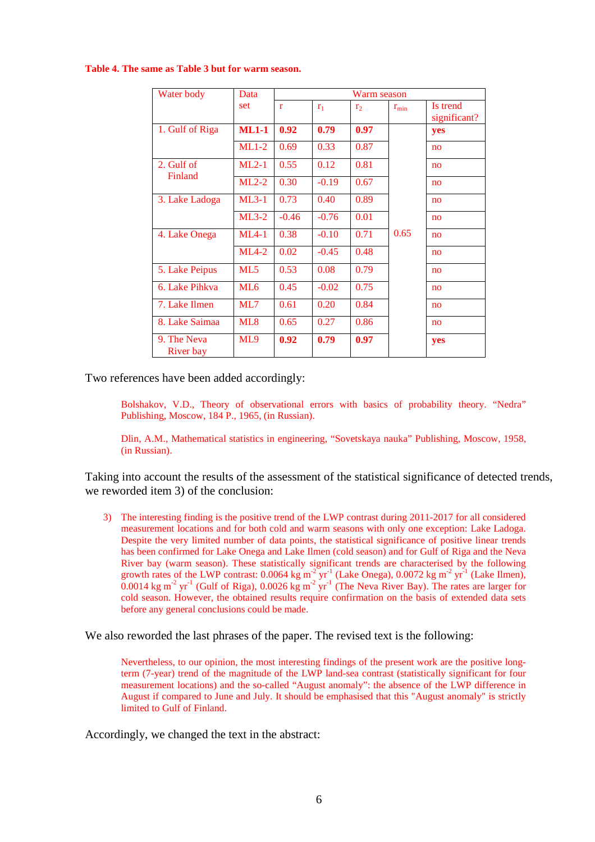**Table 4. The same as Table 3 but for warm season.** 

| Water body               | Data            | Warm season  |         |                |               |                          |  |  |  |
|--------------------------|-----------------|--------------|---------|----------------|---------------|--------------------------|--|--|--|
|                          | set             | $\mathbf{r}$ | $r_1$   | r <sub>2</sub> | $r_{\rm min}$ | Is trend<br>significant? |  |  |  |
| 1. Gulf of Riga          | $ML1-1$         | 0.92         | 0.79    | 0.97           |               | yes                      |  |  |  |
|                          | $ML1-2$         | 0.69         | 0.33    | 0.87           |               | no                       |  |  |  |
| 2. Gulf of               | $ML2-1$         | 0.55         | 0.12    | 0.81           |               | no                       |  |  |  |
| Finland                  | $ML2-2$         | 0.30         | $-0.19$ | 0.67           |               | no                       |  |  |  |
| 3. Lake Ladoga           | $ML3-1$         | 0.73         | 0.40    | 0.89           |               | no                       |  |  |  |
|                          | $ML3-2$         | $-0.46$      | $-0.76$ | 0.01           |               | no                       |  |  |  |
| 4. Lake Onega            | $ML4-1$         | 0.38         | $-0.10$ | 0.71           | 0.65          | no                       |  |  |  |
|                          | $ML4-2$         | 0.02         | $-0.45$ | 0.48           |               | no                       |  |  |  |
| 5. Lake Peipus           | ML5             | 0.53         | 0.08    | 0.79           |               | no                       |  |  |  |
| 6. Lake Pihkva           | ML <sub>6</sub> | 0.45         | $-0.02$ | 0.75           |               | no                       |  |  |  |
| 7. Lake Ilmen            | ML7             | 0.61         | 0.20    | 0.84           |               | no                       |  |  |  |
| 8. Lake Saimaa           | ML8             | 0.65         | 0.27    | 0.86           |               | no                       |  |  |  |
| 9. The Neva<br>River bay | ML9             | 0.92         | 0.79    | 0.97           |               | yes                      |  |  |  |

Two references have been added accordingly:

Bolshakov, V.D., Theory of observational errors with basics of probability theory. "Nedra" Publishing, Moscow, 184 P., 1965, (in Russian).

Dlin, A.M., Mathematical statistics in engineering, "Sovetskaya nauka" Publishing, Moscow, 1958, (in Russian).

Taking into account the results of the assessment of the statistical significance of detected trends, we reworded item 3) of the conclusion:

3) The interesting finding is the positive trend of the LWP contrast during 2011-2017 for all considered measurement locations and for both cold and warm seasons with only one exception: Lake Ladoga. Despite the very limited number of data points, the statistical significance of positive linear trends has been confirmed for Lake Onega and Lake Ilmen (cold season) and for Gulf of Riga and the Neva River bay (warm season). These statistically significant trends are characterised by the following growth rates of the LWP contrast:  $0.0064 \text{ kg m}^{-2} \text{ yr}^{-1}$  (Lake Onega),  $0.0072 \text{ kg m}^{-2} \text{ yr}^{-1}$  (Lake Ilmen),  $0.0014$  kg m<sup>-2</sup> yr<sup>-1</sup> (Gulf of Riga),  $0.0026$  kg m<sup>-2</sup> yr<sup>-1</sup> (The Neva River Bay). The rates are larger for cold season. However, the obtained results require confirmation on the basis of extended data sets before any general conclusions could be made.

We also reworded the last phrases of the paper. The revised text is the following:

Nevertheless, to our opinion, the most interesting findings of the present work are the positive longterm (7-year) trend of the magnitude of the LWP land-sea contrast (statistically significant for four measurement locations) and the so-called "August anomaly": the absence of the LWP difference in August if compared to June and July. It should be emphasised that this "August anomaly" is strictly limited to Gulf of Finland.

Accordingly, we changed the text in the abstract: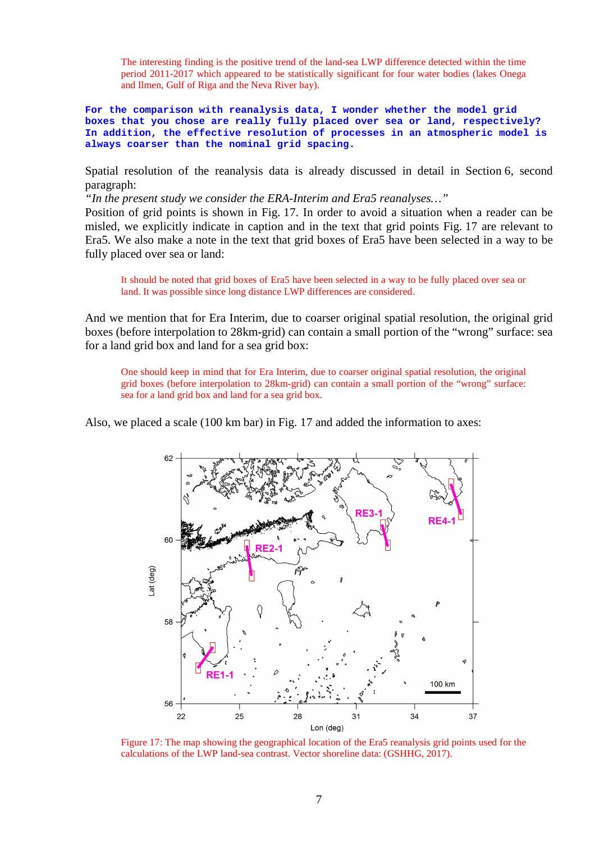The interesting finding is the positive trend of the land-sea LWP difference detected within the time period 2011-2017 which appeared to be statistically significant for four water bodies (lakes Onega and Ilmen, Gulf of Riga and the Neva River bay).

**For the comparison with reanalysis data, I wonder whether the model grid boxes that you chose are really fully placed over sea or land, respectively? In addition, the effective resolution of processes in an atmospheric model is always coarser than the nominal grid spacing.** 

Spatial resolution of the reanalysis data is already discussed in detail in Section 6, second paragraph:

*"In the present study we consider the ERA-Interim and Era5 reanalyses…"* 

Position of grid points is shown in Fig. 17. In order to avoid a situation when a reader can be misled, we explicitly indicate in caption and in the text that grid points Fig. 17 are relevant to Era5. We also make a note in the text that grid boxes of Era5 have been selected in a way to be fully placed over sea or land:

It should be noted that grid boxes of Era5 have been selected in a way to be fully placed over sea or land. It was possible since long distance LWP differences are considered.

And we mention that for Era Interim, due to coarser original spatial resolution, the original grid boxes (before interpolation to 28km-grid) can contain a small portion of the "wrong" surface: sea for a land grid box and land for a sea grid box:

One should keep in mind that for Era Interim, due to coarser original spatial resolution, the original grid boxes (before interpolation to 28km-grid) can contain a small portion of the "wrong" surface: sea for a land grid box and land for a sea grid box.

Also, we placed a scale (100 km bar) in Fig. 17 and added the information to axes:



Figure 17: The map showing the geographical location of the Era5 reanalysis grid points used for the calculations of the LWP land-sea contrast. Vector shoreline data: (GSHHG, 2017).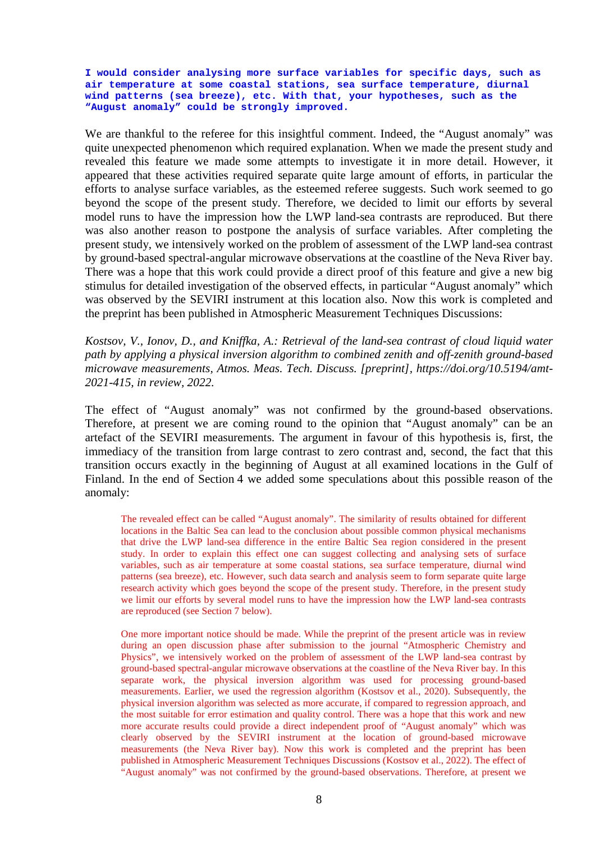**I would consider analysing more surface variables for specific days, such as air temperature at some coastal stations, sea surface temperature, diurnal wind patterns (sea breeze), etc. With that, your hypotheses, such as the "August anomaly" could be strongly improved.** 

We are thankful to the referee for this insightful comment. Indeed, the "August anomaly" was quite unexpected phenomenon which required explanation. When we made the present study and revealed this feature we made some attempts to investigate it in more detail. However, it appeared that these activities required separate quite large amount of efforts, in particular the efforts to analyse surface variables, as the esteemed referee suggests. Such work seemed to go beyond the scope of the present study. Therefore, we decided to limit our efforts by several model runs to have the impression how the LWP land-sea contrasts are reproduced. But there was also another reason to postpone the analysis of surface variables. After completing the present study, we intensively worked on the problem of assessment of the LWP land-sea contrast by ground-based spectral-angular microwave observations at the coastline of the Neva River bay. There was a hope that this work could provide a direct proof of this feature and give a new big stimulus for detailed investigation of the observed effects, in particular "August anomaly" which was observed by the SEVIRI instrument at this location also. Now this work is completed and the preprint has been published in Atmospheric Measurement Techniques Discussions:

*Kostsov, V., Ionov, D., and Kniffka, A.: Retrieval of the land-sea contrast of cloud liquid water path by applying a physical inversion algorithm to combined zenith and off-zenith ground-based microwave measurements, Atmos. Meas. Tech. Discuss. [preprint], https://doi.org/10.5194/amt-2021-415, in review, 2022.* 

The effect of "August anomaly" was not confirmed by the ground-based observations. Therefore, at present we are coming round to the opinion that "August anomaly" can be an artefact of the SEVIRI measurements. The argument in favour of this hypothesis is, first, the immediacy of the transition from large contrast to zero contrast and, second, the fact that this transition occurs exactly in the beginning of August at all examined locations in the Gulf of Finland. In the end of Section 4 we added some speculations about this possible reason of the anomaly:

The revealed effect can be called "August anomaly". The similarity of results obtained for different locations in the Baltic Sea can lead to the conclusion about possible common physical mechanisms that drive the LWP land-sea difference in the entire Baltic Sea region considered in the present study. In order to explain this effect one can suggest collecting and analysing sets of surface variables, such as air temperature at some coastal stations, sea surface temperature, diurnal wind patterns (sea breeze), etc. However, such data search and analysis seem to form separate quite large research activity which goes beyond the scope of the present study. Therefore, in the present study we limit our efforts by several model runs to have the impression how the LWP land-sea contrasts are reproduced (see Section 7 below).

One more important notice should be made. While the preprint of the present article was in review during an open discussion phase after submission to the journal "Atmospheric Chemistry and Physics", we intensively worked on the problem of assessment of the LWP land-sea contrast by ground-based spectral-angular microwave observations at the coastline of the Neva River bay. In this separate work, the physical inversion algorithm was used for processing ground-based measurements. Earlier, we used the regression algorithm (Kostsov et al., 2020). Subsequently, the physical inversion algorithm was selected as more accurate, if compared to regression approach, and the most suitable for error estimation and quality control. There was a hope that this work and new more accurate results could provide a direct independent proof of "August anomaly" which was clearly observed by the SEVIRI instrument at the location of ground-based microwave measurements (the Neva River bay). Now this work is completed and the preprint has been published in Atmospheric Measurement Techniques Discussions (Kostsov et al., 2022). The effect of "August anomaly" was not confirmed by the ground-based observations. Therefore, at present we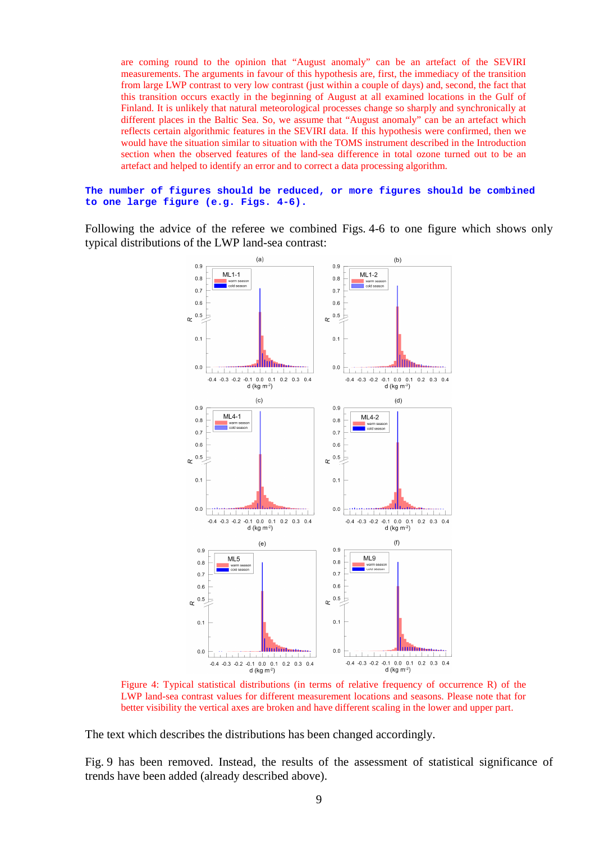are coming round to the opinion that "August anomaly" can be an artefact of the SEVIRI measurements. The arguments in favour of this hypothesis are, first, the immediacy of the transition from large LWP contrast to very low contrast (just within a couple of days) and, second, the fact that this transition occurs exactly in the beginning of August at all examined locations in the Gulf of Finland. It is unlikely that natural meteorological processes change so sharply and synchronically at different places in the Baltic Sea. So, we assume that "August anomaly" can be an artefact which reflects certain algorithmic features in the SEVIRI data. If this hypothesis were confirmed, then we would have the situation similar to situation with the TOMS instrument described in the Introduction section when the observed features of the land-sea difference in total ozone turned out to be an artefact and helped to identify an error and to correct a data processing algorithm.

#### **The number of figures should be reduced, or more figures should be combined to one large figure (e.g. Figs. 4-6).**

Following the advice of the referee we combined Figs. 4-6 to one figure which shows only typical distributions of the LWP land-sea contrast:



Figure 4: Typical statistical distributions (in terms of relative frequency of occurrence R) of the LWP land-sea contrast values for different measurement locations and seasons. Please note that for better visibility the vertical axes are broken and have different scaling in the lower and upper part.

The text which describes the distributions has been changed accordingly.

Fig. 9 has been removed. Instead, the results of the assessment of statistical significance of trends have been added (already described above).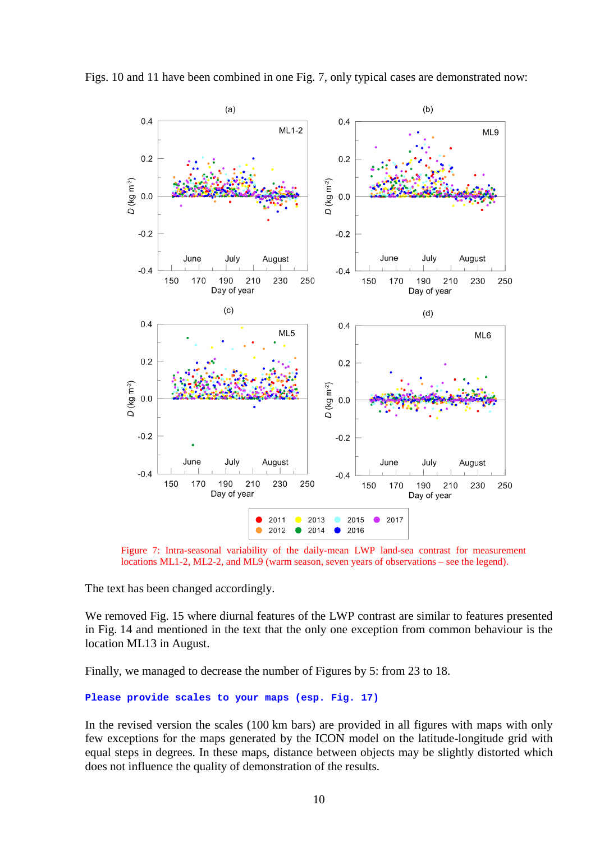



Figure 7: Intra-seasonal variability of the daily-mean LWP land-sea contrast for measurement locations ML1-2, ML2-2, and ML9 (warm season, seven years of observations – see the legend).

The text has been changed accordingly.

We removed Fig. 15 where diurnal features of the LWP contrast are similar to features presented in Fig. 14 and mentioned in the text that the only one exception from common behaviour is the location ML13 in August.

Finally, we managed to decrease the number of Figures by 5: from 23 to 18.

```
Please provide scales to your maps (esp. Fig. 17)
```
In the revised version the scales (100 km bars) are provided in all figures with maps with only few exceptions for the maps generated by the ICON model on the latitude-longitude grid with equal steps in degrees. In these maps, distance between objects may be slightly distorted which does not influence the quality of demonstration of the results.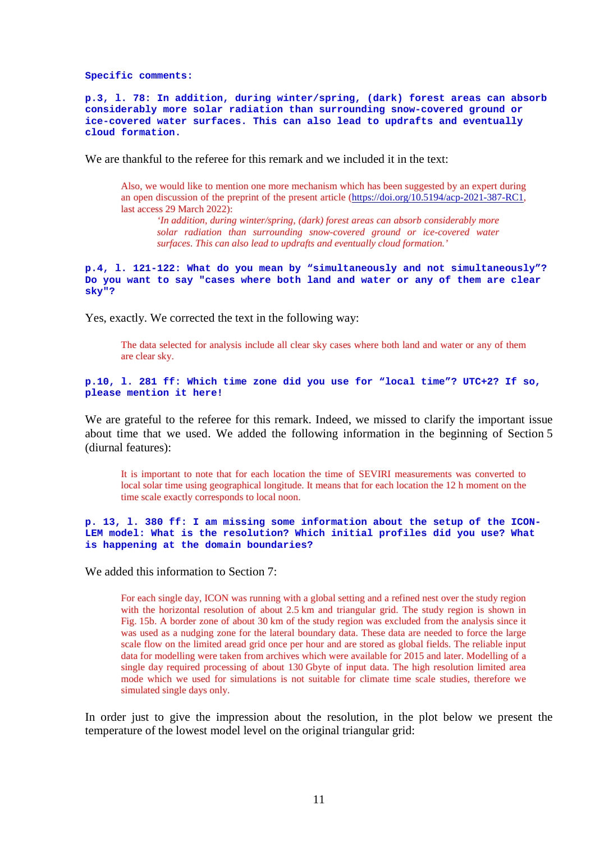**Specific comments:** 

**p.3, l. 78: In addition, during winter/spring, (dark) forest areas can absorb considerably more solar radiation than surrounding snow-covered ground or ice-covered water surfaces. This can also lead to updrafts and eventually cloud formation.** 

We are thankful to the referee for this remark and we included it in the text:

Also, we would like to mention one more mechanism which has been suggested by an expert during an open discussion of the preprint of the present article (https://doi.org/10.5194/acp-2021-387-RC1, last access 29 March 2022):

*'In addition, during winter/spring, (dark) forest areas can absorb considerably more solar radiation than surrounding snow-covered ground or ice-covered water surfaces. This can also lead to updrafts and eventually cloud formation.'* 

#### **p.4, l. 121-122: What do you mean by "simultaneously and not simultaneously"? Do you want to say "cases where both land and water or any of them are clear sky"?**

Yes, exactly. We corrected the text in the following way:

The data selected for analysis include all clear sky cases where both land and water or any of them are clear sky.

### **p.10, l. 281 ff: Which time zone did you use for "local time"? UTC+2? If so, please mention it here!**

We are grateful to the referee for this remark. Indeed, we missed to clarify the important issue about time that we used. We added the following information in the beginning of Section 5 (diurnal features):

It is important to note that for each location the time of SEVIRI measurements was converted to local solar time using geographical longitude. It means that for each location the 12 h moment on the time scale exactly corresponds to local noon.

**p. 13, l. 380 ff: I am missing some information about the setup of the ICON-LEM model: What is the resolution? Which initial profiles did you use? What is happening at the domain boundaries?** 

We added this information to Section 7:

For each single day, ICON was running with a global setting and a refined nest over the study region with the horizontal resolution of about 2.5 km and triangular grid. The study region is shown in Fig. 15b. A border zone of about 30 km of the study region was excluded from the analysis since it was used as a nudging zone for the lateral boundary data. These data are needed to force the large scale flow on the limited aread grid once per hour and are stored as global fields. The reliable input data for modelling were taken from archives which were available for 2015 and later. Modelling of a single day required processing of about 130 Gbyte of input data. The high resolution limited area mode which we used for simulations is not suitable for climate time scale studies, therefore we simulated single days only.

In order just to give the impression about the resolution, in the plot below we present the temperature of the lowest model level on the original triangular grid: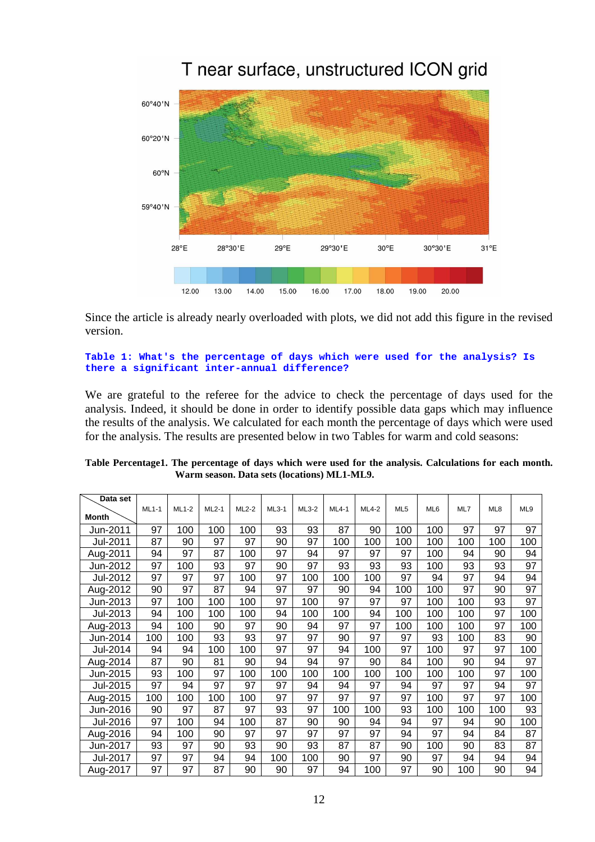

Since the article is already nearly overloaded with plots, we did not add this figure in the revised version.

## **Table 1: What's the percentage of days which were used for the analysis? Is there a significant inter-annual difference?**

We are grateful to the referee for the advice to check the percentage of days used for the analysis. Indeed, it should be done in order to identify possible data gaps which may influence the results of the analysis. We calculated for each month the percentage of days which were used for the analysis. The results are presented below in two Tables for warm and cold seasons:

| Data set     |         |         |       |       |         |         |         |         |                 |                 |     |     |     |
|--------------|---------|---------|-------|-------|---------|---------|---------|---------|-----------------|-----------------|-----|-----|-----|
|              | $ML1-1$ | $ML1-2$ | ML2-1 | ML2-2 | $ML3-1$ | $ML3-2$ | $ML4-1$ | $ML4-2$ | ML <sub>5</sub> | ML <sub>6</sub> | ML7 | ML8 | ML9 |
| <b>Month</b> |         |         |       |       |         |         |         |         |                 |                 |     |     |     |
| Jun-2011     | 97      | 100     | 100   | 100   | 93      | 93      | 87      | 90      | 100             | 100             | 97  | 97  | 97  |
| Jul-2011     | 87      | 90      | 97    | 97    | 90      | 97      | 100     | 100     | 100             | 100             | 100 | 100 | 100 |
| Aug-2011     | 94      | 97      | 87    | 100   | 97      | 94      | 97      | 97      | 97              | 100             | 94  | 90  | 94  |
| Jun-2012     | 97      | 100     | 93    | 97    | 90      | 97      | 93      | 93      | 93              | 100             | 93  | 93  | 97  |
| Jul-2012     | 97      | 97      | 97    | 100   | 97      | 100     | 100     | 100     | 97              | 94              | 97  | 94  | 94  |
| Aug-2012     | 90      | 97      | 87    | 94    | 97      | 97      | 90      | 94      | 100             | 100             | 97  | 90  | 97  |
| Jun-2013     | 97      | 100     | 100   | 100   | 97      | 100     | 97      | 97      | 97              | 100             | 100 | 93  | 97  |
| Jul-2013     | 94      | 100     | 100   | 100   | 94      | 100     | 100     | 94      | 100             | 100             | 100 | 97  | 100 |
| Aug-2013     | 94      | 100     | 90    | 97    | 90      | 94      | 97      | 97      | 100             | 100             | 100 | 97  | 100 |
| Jun-2014     | 100     | 100     | 93    | 93    | 97      | 97      | 90      | 97      | 97              | 93              | 100 | 83  | 90  |
| Jul-2014     | 94      | 94      | 100   | 100   | 97      | 97      | 94      | 100     | 97              | 100             | 97  | 97  | 100 |
| Aug-2014     | 87      | 90      | 81    | 90    | 94      | 94      | 97      | 90      | 84              | 100             | 90  | 94  | 97  |
| Jun-2015     | 93      | 100     | 97    | 100   | 100     | 100     | 100     | 100     | 100             | 100             | 100 | 97  | 100 |
| Jul-2015     | 97      | 94      | 97    | 97    | 97      | 94      | 94      | 97      | 94              | 97              | 97  | 94  | 97  |
| Aug-2015     | 100     | 100     | 100   | 100   | 97      | 97      | 97      | 97      | 97              | 100             | 97  | 97  | 100 |
| Jun-2016     | 90      | 97      | 87    | 97    | 93      | 97      | 100     | 100     | 93              | 100             | 100 | 100 | 93  |
| Jul-2016     | 97      | 100     | 94    | 100   | 87      | 90      | 90      | 94      | 94              | 97              | 94  | 90  | 100 |
| Aug-2016     | 94      | 100     | 90    | 97    | 97      | 97      | 97      | 97      | 94              | 97              | 94  | 84  | 87  |
| Jun-2017     | 93      | 97      | 90    | 93    | 90      | 93      | 87      | 87      | 90              | 100             | 90  | 83  | 87  |
| Jul-2017     | 97      | 97      | 94    | 94    | 100     | 100     | 90      | 97      | 90              | 97              | 94  | 94  | 94  |
| Aug-2017     | 97      | 97      | 87    | 90    | 90      | 97      | 94      | 100     | 97              | 90              | 100 | 90  | 94  |

| Table Percentage1. The percentage of days which were used for the analysis. Calculations for each month. |
|----------------------------------------------------------------------------------------------------------|
| Warm season. Data sets (locations) ML1-ML9.                                                              |